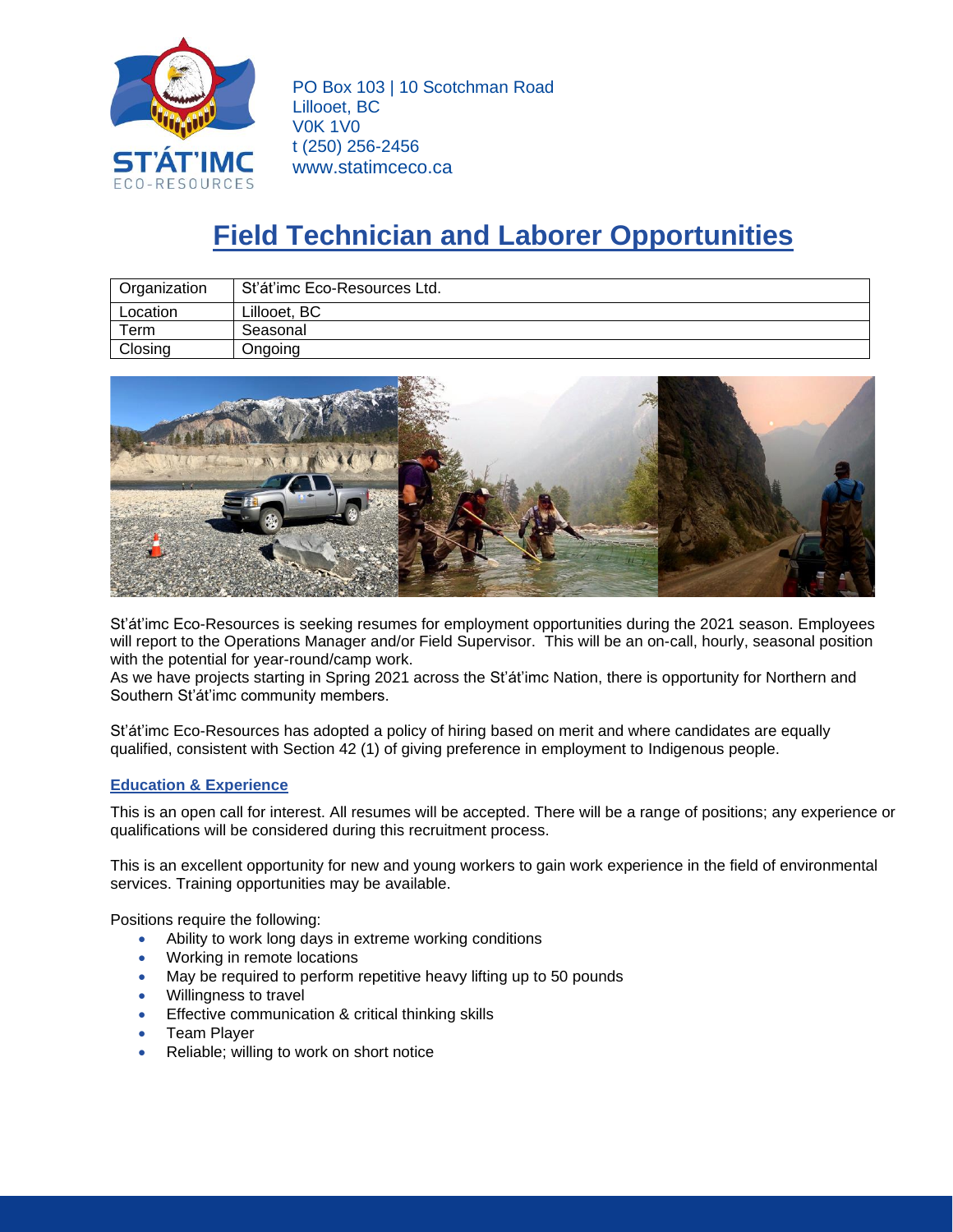

PO Box 103 | 10 Scotchman Road Lillooet, BC V0K 1V0 t (250) 256-2456 www.statimceco.ca

## **Field Technician and Laborer Opportunities**

| Organization | Sťáťimc Eco-Resources Ltd. |
|--------------|----------------------------|
| Location     | Lillooet, BC               |
| Term         | Seasonal                   |
| Closing      | <b>Jngoing</b>             |



St'át'imc Eco-Resources is seeking resumes for employment opportunities during the 2021 season. Employees will report to the Operations Manager and/or Field Supervisor. This will be an on-call, hourly, seasonal position with the potential for year-round/camp work.

As we have projects starting in Spring 2021 across the St'át'imc Nation, there is opportunity for Northern and Southern St'át'imc community members.

St'át'imc Eco-Resources has adopted a policy of hiring based on merit and where candidates are equally qualified, consistent with Section 42 (1) of giving preference in employment to Indigenous people.

## **Education & Experience**

This is an open call for interest. All resumes will be accepted. There will be a range of positions; any experience or qualifications will be considered during this recruitment process.

This is an excellent opportunity for new and young workers to gain work experience in the field of environmental services. Training opportunities may be available.

Positions require the following:

- Ability to work long days in extreme working conditions
- Working in remote locations
- May be required to perform repetitive heavy lifting up to 50 pounds
- Willingness to travel
- **Effective communication & critical thinking skills**
- Team Player
- Reliable; willing to work on short notice